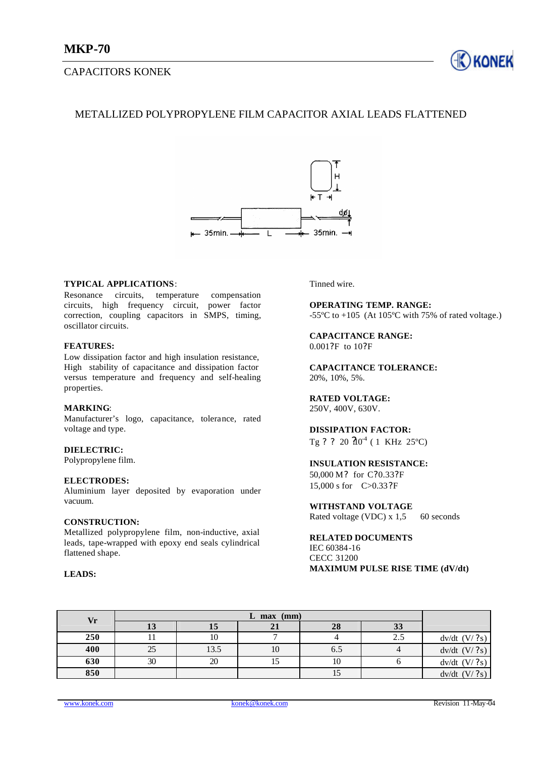# CAPACITORS KONEK



# METALLIZED POLYPROPYLENE FILM CAPACITOR AXIAL LEADS FLATTENED



## **TYPICAL APPLICATIONS**:

Resonance circuits, temperature compensation circuits, high frequency circuit, power factor correction, coupling capacitors in SMPS, timing, oscillator circuits.

## **FEATURES:**

Low dissipation factor and high insulation resistance, High stability of capacitance and dissipation factor versus temperature and frequency and self-healing properties.

#### **MARKING**:

Manufacturer's logo, capacitance, tolerance, rated voltage and type.

#### **DIELECTRIC:**

Polypropylene film.

#### **ELECTRODES:**

Aluminium layer deposited by evaporation under vacuum.

## **CONSTRUCTION:**

Metallized polypropylene film, non-inductive, axial leads, tape-wrapped with epoxy end seals cylindrical flattened shape.

## **LEADS:**

Tinned wire.

**OPERATING TEMP. RANGE:** -55 $^{\circ}$ C to +105 (At 105 $^{\circ}$ C with 75% of rated voltage.)

#### **CAPACITANCE RANGE:** 0.001?F to 10?F

**CAPACITANCE TOLERANCE:** 20%, 10%, 5%.

#### **RATED VOLTAGE:** 250V, 400V, 630V.

**DISSIPATION FACTOR:**

Tg ? ? 20  $20^{4}$  ( 1 KHz 25<sup>o</sup>C)

## **INSULATION RESISTANCE:**

50,000 M? for C?0.33?F 15,000 s for C>0.33?F

# **WITHSTAND VOLTAGE**

Rated voltage (VDC) x 1,5 60 seconds

## **RELATED DOCUMENTS** IEC 60384-16

CECC 31200 **MAXIMUM PULSE RISE TIME (dV/dt)** 

| Vr  |    |      |    |     |     |                   |
|-----|----|------|----|-----|-----|-------------------|
|     | IJ | 15   | 21 | 28  | 33  |                   |
| 250 |    | ΙV   |    |     | 2.5 | $dv/dt$ $(V/ ?s)$ |
| 400 | 25 | 13.5 | 10 | 6.5 |     | $dv/dt$ (V/?s)    |
| 630 | 30 | 20   |    | 10  |     | $dv/dt$ (V/?s)    |
| 850 |    |      |    | IJ  |     | $dv/dt$ (V/?s)    |